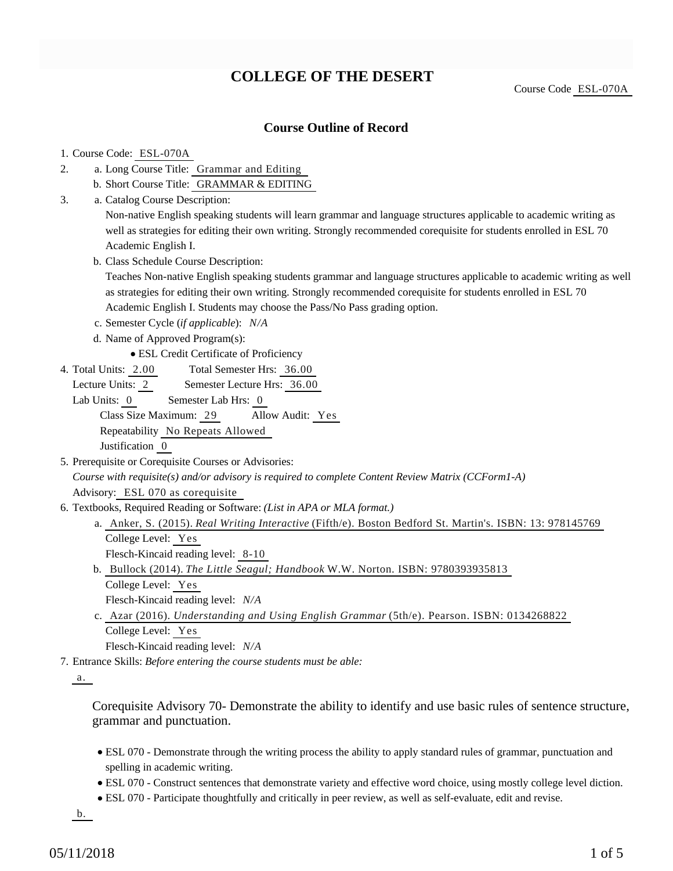## **COLLEGE OF THE DESERT**

Course Code ESL-070A

### **Course Outline of Record**

#### 1. Course Code: ESL-070A

- a. Long Course Title: Grammar and Editing 2.
	- b. Short Course Title: GRAMMAR & EDITING
- Catalog Course Description: a. 3.

Non-native English speaking students will learn grammar and language structures applicable to academic writing as well as strategies for editing their own writing. Strongly recommended corequisite for students enrolled in ESL 70 Academic English I.

b. Class Schedule Course Description:

Teaches Non-native English speaking students grammar and language structures applicable to academic writing as well as strategies for editing their own writing. Strongly recommended corequisite for students enrolled in ESL 70 Academic English I. Students may choose the Pass/No Pass grading option.

- c. Semester Cycle (*if applicable*): *N/A*
- d. Name of Approved Program(s):

ESL Credit Certificate of Proficiency

Total Semester Hrs: 36.00 4. Total Units: 2.00

Lecture Units: 2 Semester Lecture Hrs: 36.00

Lab Units: 0 Semester Lab Hrs: 0 Class Size Maximum: 29 Allow Audit: Yes Repeatability No Repeats Allowed Justification 0

- 5. Prerequisite or Corequisite Courses or Advisories: *Course with requisite(s) and/or advisory is required to complete Content Review Matrix (CCForm1-A)* Advisory: ESL 070 as corequisite
- 6. Textbooks, Required Reading or Software: (List in APA or MLA format.)
	- Anker, S. (2015). *Real Writing Interactive* (Fifth/e). Boston Bedford St. Martin's. ISBN: 13: 978145769 a. College Level: Yes

Flesch-Kincaid reading level: 8-10

Bullock (2014). *The Little Seagul; Handbook* W.W. Norton. ISBN: 9780393935813 b. College Level: Yes

Flesch-Kincaid reading level: *N/A*

c. Azar (2016). *Understanding and Using English Grammar* (5th/e). Pearson. ISBN: 0134268822 College Level: Yes

Flesch-Kincaid reading level: *N/A*

Entrance Skills: *Before entering the course students must be able:* 7.

a.

Corequisite Advisory 70- Demonstrate the ability to identify and use basic rules of sentence structure, grammar and punctuation.

- ESL 070 Demonstrate through the writing process the ability to apply standard rules of grammar, punctuation and spelling in academic writing.
- ESL 070 Construct sentences that demonstrate variety and effective word choice, using mostly college level diction.
- ESL 070 Participate thoughtfully and critically in peer review, as well as self-evaluate, edit and revise.

b.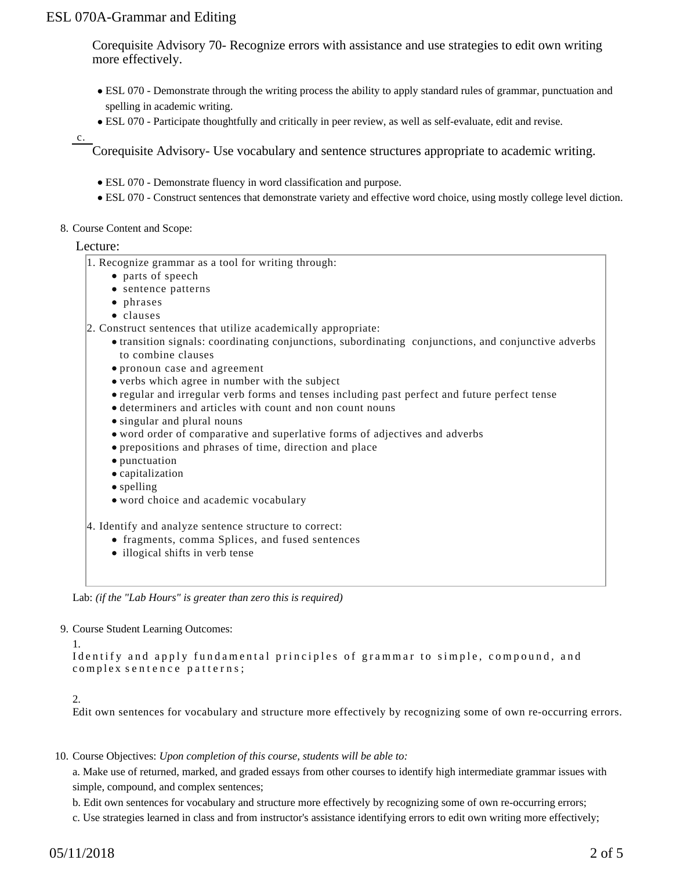Corequisite Advisory 70- Recognize errors with assistance and use strategies to edit own writing more effectively.

- ESL 070 Demonstrate through the writing process the ability to apply standard rules of grammar, punctuation and spelling in academic writing.
- ESL 070 Participate thoughtfully and critically in peer review, as well as self-evaluate, edit and revise.

c.

Corequisite Advisory- Use vocabulary and sentence structures appropriate to academic writing.

- ESL 070 Demonstrate fluency in word classification and purpose.
- ESL 070 Construct sentences that demonstrate variety and effective word choice, using mostly college level diction.
- 8. Course Content and Scope:

#### Lecture:

- 1. Recognize grammar as a tool for writing through:
	- parts of speech
	- sentence patterns
	- phrases
	- clauses
- 2. Construct sentences that utilize academically appropriate:
	- transition signals: coordinating conjunctions, subordinating conjunctions, and conjunctive adverbs to combine clauses
	- pronoun case and agreement
	- verbs which agree in number with the subject
	- regular and irregular verb forms and tenses including past perfect and future perfect tense
	- determiners and articles with count and non count nouns
	- singular and plural nouns
	- word order of comparative and superlative forms of adjectives and adverbs
	- prepositions and phrases of time, direction and place
	- punctuation
	- capitalization
	- spelling
	- word choice and academic vocabulary
- 4. Identify and analyze sentence structure to correct:
	- fragments, comma Splices, and fused sentences
	- illogical shifts in verb tense

Lab: *(if the "Lab Hours" is greater than zero this is required)*

#### 9. Course Student Learning Outcomes:

```
1. 
Identify and apply fundamental principles of grammar to simple, compound, and
complex sentence patterns;
```
#### 2.

Edit own sentences for vocabulary and structure more effectively by recognizing some of own re-occurring errors.

10. Course Objectives: Upon completion of this course, students will be able to:

a. Make use of returned, marked, and graded essays from other courses to identify high intermediate grammar issues with simple, compound, and complex sentences;

- b. Edit own sentences for vocabulary and structure more effectively by recognizing some of own re-occurring errors;
- c. Use strategies learned in class and from instructor's assistance identifying errors to edit own writing more effectively;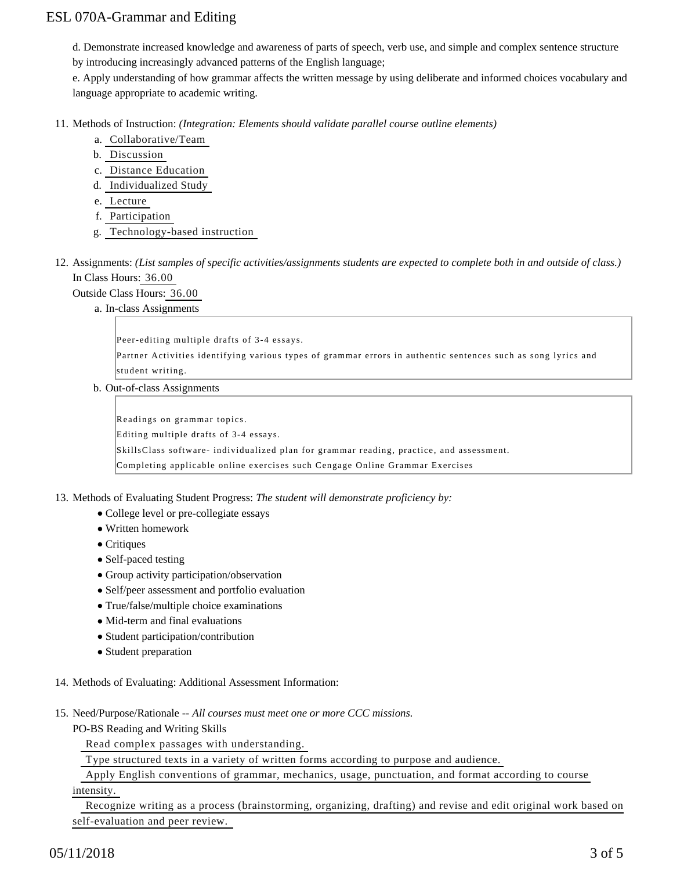d. Demonstrate increased knowledge and awareness of parts of speech, verb use, and simple and complex sentence structure

by introducing increasingly advanced patterns of the English language;

e. Apply understanding of how grammar affects the written message by using deliberate and informed choices vocabulary and language appropriate to academic writing.

11. Methods of Instruction: *(Integration: Elements should validate parallel course outline elements)* 

- a. Collaborative/Team
- b. Discussion
- c. Distance Education
- d. Individualized Study
- e. Lecture
- f. Participation
- g. Technology-based instruction
- 12. Assignments: (List samples of specific activities/assignments students are expected to complete both in and outside of class.) In Class Hours: 36.00

Outside Class Hours: 36.00

a. In-class Assignments

Peer-editing multiple drafts of 3-4 essays.

Partner Activities identifying various types of grammar errors in authentic sentences such as song lyrics and student writing.

b. Out-of-class Assignments

Readings on grammar topics.

Editing multiple drafts of 3-4 essays.

SkillsClass software- individualized plan for grammar reading, practice, and assessment.

Completing applicable online exercises such Cengage Online Grammar Exercises

13. Methods of Evaluating Student Progress: The student will demonstrate proficiency by:

- College level or pre-collegiate essays
- Written homework
- Critiques
- Self-paced testing
- Group activity participation/observation
- Self/peer assessment and portfolio evaluation
- True/false/multiple choice examinations
- Mid-term and final evaluations
- Student participation/contribution
- Student preparation
- 14. Methods of Evaluating: Additional Assessment Information:
- 15. Need/Purpose/Rationale -- All courses must meet one or more CCC missions.
	- PO-BS Reading and Writing Skills

Read complex passages with understanding.

Type structured texts in a variety of written forms according to purpose and audience.

Apply English conventions of grammar, mechanics, usage, punctuation, and format according to course

intensity.

 Recognize writing as a process (brainstorming, organizing, drafting) and revise and edit original work based on self-evaluation and peer review.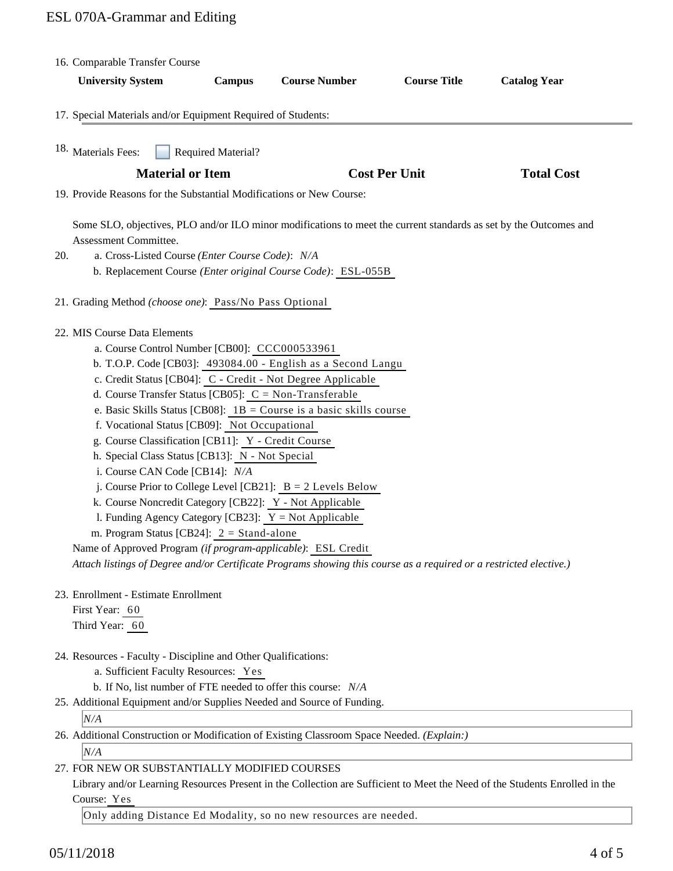| 16. Comparable Transfer Course<br><b>University System</b>                                                                                                                                                                                                                                                                                                                                                                                                                                                                                                                                                                                                                                                                                                                                                                                                                                                                                                              | <b>Campus</b>             | <b>Course Number</b> | <b>Course Title</b>  | <b>Catalog Year</b> |
|-------------------------------------------------------------------------------------------------------------------------------------------------------------------------------------------------------------------------------------------------------------------------------------------------------------------------------------------------------------------------------------------------------------------------------------------------------------------------------------------------------------------------------------------------------------------------------------------------------------------------------------------------------------------------------------------------------------------------------------------------------------------------------------------------------------------------------------------------------------------------------------------------------------------------------------------------------------------------|---------------------------|----------------------|----------------------|---------------------|
|                                                                                                                                                                                                                                                                                                                                                                                                                                                                                                                                                                                                                                                                                                                                                                                                                                                                                                                                                                         |                           |                      |                      |                     |
| 17. Special Materials and/or Equipment Required of Students:                                                                                                                                                                                                                                                                                                                                                                                                                                                                                                                                                                                                                                                                                                                                                                                                                                                                                                            |                           |                      |                      |                     |
| 18. Materials Fees:                                                                                                                                                                                                                                                                                                                                                                                                                                                                                                                                                                                                                                                                                                                                                                                                                                                                                                                                                     | <b>Required Material?</b> |                      |                      |                     |
| <b>Material or Item</b>                                                                                                                                                                                                                                                                                                                                                                                                                                                                                                                                                                                                                                                                                                                                                                                                                                                                                                                                                 |                           |                      | <b>Cost Per Unit</b> | <b>Total Cost</b>   |
| 19. Provide Reasons for the Substantial Modifications or New Course:                                                                                                                                                                                                                                                                                                                                                                                                                                                                                                                                                                                                                                                                                                                                                                                                                                                                                                    |                           |                      |                      |                     |
| Some SLO, objectives, PLO and/or ILO minor modifications to meet the current standards as set by the Outcomes and<br>Assessment Committee.<br>a. Cross-Listed Course (Enter Course Code): N/A<br>20.<br>b. Replacement Course (Enter original Course Code): ESL-055B                                                                                                                                                                                                                                                                                                                                                                                                                                                                                                                                                                                                                                                                                                    |                           |                      |                      |                     |
| 21. Grading Method (choose one): Pass/No Pass Optional                                                                                                                                                                                                                                                                                                                                                                                                                                                                                                                                                                                                                                                                                                                                                                                                                                                                                                                  |                           |                      |                      |                     |
| 22. MIS Course Data Elements<br>a. Course Control Number [CB00]: CCC000533961<br>b. T.O.P. Code [CB03]: 493084.00 - English as a Second Langu<br>c. Credit Status [CB04]: C - Credit - Not Degree Applicable<br>d. Course Transfer Status [CB05]: $C = Non-Transferable$<br>e. Basic Skills Status [CB08]: $1B =$ Course is a basic skills course<br>f. Vocational Status [CB09]: Not Occupational<br>g. Course Classification [CB11]: Y - Credit Course<br>h. Special Class Status [CB13]: N - Not Special<br>i. Course CAN Code [CB14]: N/A<br>j. Course Prior to College Level [CB21]: $B = 2$ Levels Below<br>k. Course Noncredit Category [CB22]: Y - Not Applicable<br>1. Funding Agency Category [CB23]: $Y = Not$ Applicable<br>m. Program Status [CB24]: 2 = Stand-alone<br>Name of Approved Program (if program-applicable): ESL Credit<br>Attach listings of Degree and/or Certificate Programs showing this course as a required or a restricted elective.) |                           |                      |                      |                     |
| 23. Enrollment - Estimate Enrollment<br>First Year: 60<br>Third Year: 60                                                                                                                                                                                                                                                                                                                                                                                                                                                                                                                                                                                                                                                                                                                                                                                                                                                                                                |                           |                      |                      |                     |
| 24. Resources - Faculty - Discipline and Other Qualifications:<br>a. Sufficient Faculty Resources: Yes<br>b. If No, list number of FTE needed to offer this course: N/A<br>25. Additional Equipment and/or Supplies Needed and Source of Funding.<br>N/A<br>26. Additional Construction or Modification of Existing Classroom Space Needed. (Explain:)<br>N/A                                                                                                                                                                                                                                                                                                                                                                                                                                                                                                                                                                                                           |                           |                      |                      |                     |
| 27. FOR NEW OR SUBSTANTIALLY MODIFIED COURSES                                                                                                                                                                                                                                                                                                                                                                                                                                                                                                                                                                                                                                                                                                                                                                                                                                                                                                                           |                           |                      |                      |                     |

Library and/or Learning Resources Present in the Collection are Sufficient to Meet the Need of the Students Enrolled in the Course: Yes

Only adding Distance Ed Modality, so no new resources are needed.